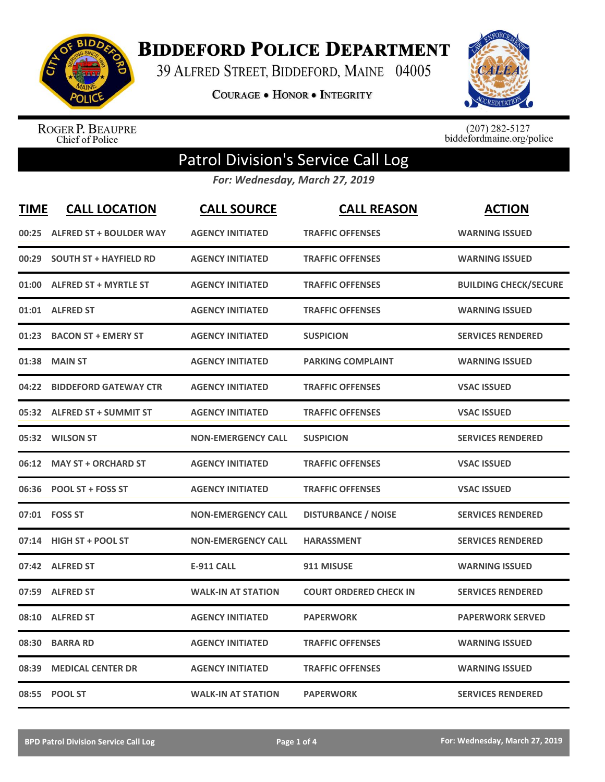

**BIDDEFORD POLICE DEPARTMENT** 

39 ALFRED STREET, BIDDEFORD, MAINE 04005

**COURAGE . HONOR . INTEGRITY** 



ROGER P. BEAUPRE<br>Chief of Police

 $(207)$  282-5127<br>biddefordmaine.org/police

## Patrol Division's Service Call Log

*For: Wednesday, March 27, 2019*

| <b>TIME</b> | <b>CALL LOCATION</b>           | <b>CALL SOURCE</b>        | <b>CALL REASON</b>            | <b>ACTION</b>                |
|-------------|--------------------------------|---------------------------|-------------------------------|------------------------------|
| 00:25       | <b>ALFRED ST + BOULDER WAY</b> | <b>AGENCY INITIATED</b>   | <b>TRAFFIC OFFENSES</b>       | <b>WARNING ISSUED</b>        |
| 00:29       | <b>SOUTH ST + HAYFIELD RD</b>  | <b>AGENCY INITIATED</b>   | <b>TRAFFIC OFFENSES</b>       | <b>WARNING ISSUED</b>        |
| 01:00       | <b>ALFRED ST + MYRTLE ST</b>   | <b>AGENCY INITIATED</b>   | <b>TRAFFIC OFFENSES</b>       | <b>BUILDING CHECK/SECURE</b> |
|             | 01:01 ALFRED ST                | <b>AGENCY INITIATED</b>   | <b>TRAFFIC OFFENSES</b>       | <b>WARNING ISSUED</b>        |
| 01:23       | <b>BACON ST + EMERY ST</b>     | <b>AGENCY INITIATED</b>   | <b>SUSPICION</b>              | <b>SERVICES RENDERED</b>     |
| 01:38       | <b>MAIN ST</b>                 | <b>AGENCY INITIATED</b>   | <b>PARKING COMPLAINT</b>      | <b>WARNING ISSUED</b>        |
| 04:22       | <b>BIDDEFORD GATEWAY CTR</b>   | <b>AGENCY INITIATED</b>   | <b>TRAFFIC OFFENSES</b>       | <b>VSAC ISSUED</b>           |
| 05:32       | <b>ALFRED ST + SUMMIT ST</b>   | <b>AGENCY INITIATED</b>   | <b>TRAFFIC OFFENSES</b>       | <b>VSAC ISSUED</b>           |
|             | 05:32 WILSON ST                | <b>NON-EMERGENCY CALL</b> | <b>SUSPICION</b>              | <b>SERVICES RENDERED</b>     |
| 06:12       | <b>MAY ST + ORCHARD ST</b>     | <b>AGENCY INITIATED</b>   | <b>TRAFFIC OFFENSES</b>       | <b>VSAC ISSUED</b>           |
|             | 06:36 POOL ST + FOSS ST        | <b>AGENCY INITIATED</b>   | <b>TRAFFIC OFFENSES</b>       | <b>VSAC ISSUED</b>           |
|             | 07:01  FOSS ST                 | <b>NON-EMERGENCY CALL</b> | <b>DISTURBANCE / NOISE</b>    | <b>SERVICES RENDERED</b>     |
| 07:14       | <b>HIGH ST + POOL ST</b>       | <b>NON-EMERGENCY CALL</b> | <b>HARASSMENT</b>             | <b>SERVICES RENDERED</b>     |
| 07:42       | <b>ALFRED ST</b>               | <b>E-911 CALL</b>         | 911 MISUSE                    | <b>WARNING ISSUED</b>        |
| 07:59       | <b>ALFRED ST</b>               | <b>WALK-IN AT STATION</b> | <b>COURT ORDERED CHECK IN</b> | <b>SERVICES RENDERED</b>     |
| 08:10       | <b>ALFRED ST</b>               | <b>AGENCY INITIATED</b>   | <b>PAPERWORK</b>              | <b>PAPERWORK SERVED</b>      |
| 08:30       | <b>BARRA RD</b>                | <b>AGENCY INITIATED</b>   | <b>TRAFFIC OFFENSES</b>       | <b>WARNING ISSUED</b>        |
| 08:39       | <b>MEDICAL CENTER DR</b>       | <b>AGENCY INITIATED</b>   | <b>TRAFFIC OFFENSES</b>       | <b>WARNING ISSUED</b>        |
|             | 08:55 POOL ST                  | <b>WALK-IN AT STATION</b> | <b>PAPERWORK</b>              | <b>SERVICES RENDERED</b>     |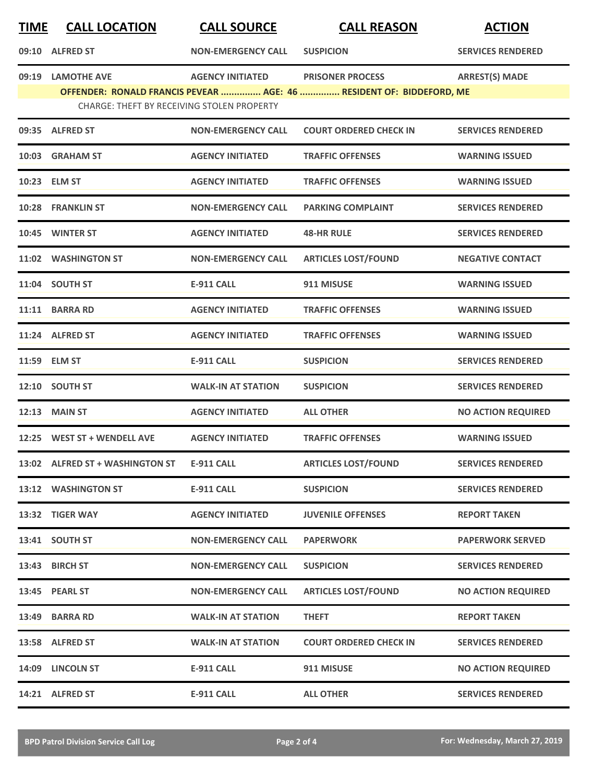| <u>TIME</u> | <b>CALL LOCATION</b>                                                   | <b>CALL SOURCE</b>        | <b>CALL REASON</b>                                                                              | <b>ACTION</b>             |
|-------------|------------------------------------------------------------------------|---------------------------|-------------------------------------------------------------------------------------------------|---------------------------|
|             | 09:10 ALFRED ST                                                        | <b>NON-EMERGENCY CALL</b> | <b>SUSPICION</b>                                                                                | <b>SERVICES RENDERED</b>  |
|             | 09:19 LAMOTHE AVE<br><b>CHARGE: THEFT BY RECEIVING STOLEN PROPERTY</b> | <b>AGENCY INITIATED</b>   | <b>PRISONER PROCESS</b><br>OFFENDER: RONALD FRANCIS PEVEAR  AGE: 46  RESIDENT OF: BIDDEFORD, ME | <b>ARREST(S) MADE</b>     |
|             | 09:35 ALFRED ST                                                        | <b>NON-EMERGENCY CALL</b> | <b>COURT ORDERED CHECK IN</b>                                                                   | <b>SERVICES RENDERED</b>  |
|             | 10:03 GRAHAM ST                                                        | <b>AGENCY INITIATED</b>   | <b>TRAFFIC OFFENSES</b>                                                                         | <b>WARNING ISSUED</b>     |
|             | 10:23 ELM ST                                                           | <b>AGENCY INITIATED</b>   | <b>TRAFFIC OFFENSES</b>                                                                         | <b>WARNING ISSUED</b>     |
|             | 10:28 FRANKLIN ST                                                      | <b>NON-EMERGENCY CALL</b> | <b>PARKING COMPLAINT</b>                                                                        | <b>SERVICES RENDERED</b>  |
|             | 10:45 WINTER ST                                                        | <b>AGENCY INITIATED</b>   | <b>48-HR RULE</b>                                                                               | <b>SERVICES RENDERED</b>  |
|             | 11:02 WASHINGTON ST                                                    | <b>NON-EMERGENCY CALL</b> | <b>ARTICLES LOST/FOUND</b>                                                                      | <b>NEGATIVE CONTACT</b>   |
|             | 11:04 SOUTH ST                                                         | <b>E-911 CALL</b>         | 911 MISUSE                                                                                      | <b>WARNING ISSUED</b>     |
|             | 11:11 BARRA RD                                                         | <b>AGENCY INITIATED</b>   | <b>TRAFFIC OFFENSES</b>                                                                         | <b>WARNING ISSUED</b>     |
|             | 11:24 ALFRED ST                                                        | <b>AGENCY INITIATED</b>   | <b>TRAFFIC OFFENSES</b>                                                                         | <b>WARNING ISSUED</b>     |
|             | 11:59 ELM ST                                                           | <b>E-911 CALL</b>         | <b>SUSPICION</b>                                                                                | <b>SERVICES RENDERED</b>  |
|             | 12:10 SOUTH ST                                                         | <b>WALK-IN AT STATION</b> | <b>SUSPICION</b>                                                                                | <b>SERVICES RENDERED</b>  |
|             | 12:13 MAIN ST                                                          | <b>AGENCY INITIATED</b>   | <b>ALL OTHER</b>                                                                                | <b>NO ACTION REQUIRED</b> |
|             | 12:25 WEST ST + WENDELL AVE                                            | <b>AGENCY INITIATED</b>   | <b>TRAFFIC OFFENSES</b>                                                                         | <b>WARNING ISSUED</b>     |
|             | 13:02 ALFRED ST + WASHINGTON ST                                        | E-911 CALL                | <b>ARTICLES LOST/FOUND</b>                                                                      | <b>SERVICES RENDERED</b>  |
|             | 13:12 WASHINGTON ST                                                    | <b>E-911 CALL</b>         | <b>SUSPICION</b>                                                                                | <b>SERVICES RENDERED</b>  |
|             | 13:32 TIGER WAY                                                        | <b>AGENCY INITIATED</b>   | <b>JUVENILE OFFENSES</b>                                                                        | <b>REPORT TAKEN</b>       |
|             | 13:41 SOUTH ST                                                         | <b>NON-EMERGENCY CALL</b> | <b>PAPERWORK</b>                                                                                | <b>PAPERWORK SERVED</b>   |
|             | 13:43 BIRCH ST                                                         | <b>NON-EMERGENCY CALL</b> | <b>SUSPICION</b>                                                                                | <b>SERVICES RENDERED</b>  |
|             | 13:45 PEARL ST                                                         | <b>NON-EMERGENCY CALL</b> | <b>ARTICLES LOST/FOUND</b>                                                                      | <b>NO ACTION REQUIRED</b> |
|             | 13:49 BARRA RD                                                         | <b>WALK-IN AT STATION</b> | <b>THEFT</b>                                                                                    | <b>REPORT TAKEN</b>       |
|             | 13:58 ALFRED ST                                                        | <b>WALK-IN AT STATION</b> | <b>COURT ORDERED CHECK IN</b>                                                                   | <b>SERVICES RENDERED</b>  |
|             | 14:09 LINCOLN ST                                                       | E-911 CALL                | 911 MISUSE                                                                                      | <b>NO ACTION REQUIRED</b> |
|             | 14:21 ALFRED ST                                                        | <b>E-911 CALL</b>         | <b>ALL OTHER</b>                                                                                | <b>SERVICES RENDERED</b>  |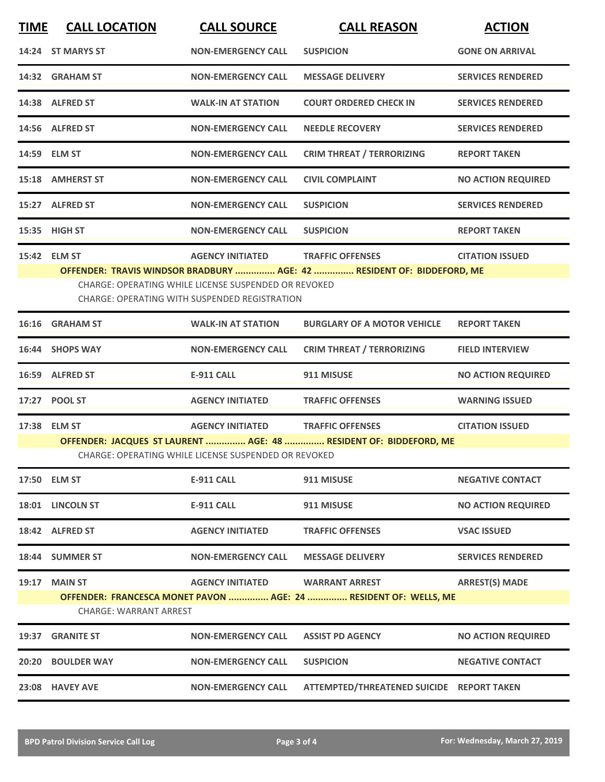| <b>TIME</b> | <b>CALL LOCATION</b>                                                                                                                                                                                                                                                                   | <b>CALL SOURCE</b>        | <b>CALL REASON</b>                                               | <b>ACTION</b>             |
|-------------|----------------------------------------------------------------------------------------------------------------------------------------------------------------------------------------------------------------------------------------------------------------------------------------|---------------------------|------------------------------------------------------------------|---------------------------|
|             | 14:24 ST MARYS ST                                                                                                                                                                                                                                                                      | <b>NON-EMERGENCY CALL</b> | <b>SUSPICION</b>                                                 | <b>GONE ON ARRIVAL</b>    |
|             | 14:32 GRAHAM ST                                                                                                                                                                                                                                                                        | <b>NON-EMERGENCY CALL</b> | <b>MESSAGE DELIVERY</b>                                          | <b>SERVICES RENDERED</b>  |
|             | 14:38 ALFRED ST                                                                                                                                                                                                                                                                        | <b>WALK-IN AT STATION</b> | <b>COURT ORDERED CHECK IN</b>                                    | <b>SERVICES RENDERED</b>  |
|             | 14:56 ALFRED ST                                                                                                                                                                                                                                                                        | <b>NON-EMERGENCY CALL</b> | <b>NEEDLE RECOVERY</b>                                           | <b>SERVICES RENDERED</b>  |
|             | 14:59 ELM ST                                                                                                                                                                                                                                                                           | <b>NON-EMERGENCY CALL</b> | <b>CRIM THREAT / TERRORIZING</b>                                 | <b>REPORT TAKEN</b>       |
|             | 15:18 AMHERST ST                                                                                                                                                                                                                                                                       | <b>NON-EMERGENCY CALL</b> | <b>CIVIL COMPLAINT</b>                                           | <b>NO ACTION REQUIRED</b> |
|             | 15:27 ALFRED ST                                                                                                                                                                                                                                                                        | <b>NON-EMERGENCY CALL</b> | <b>SUSPICION</b>                                                 | <b>SERVICES RENDERED</b>  |
|             | 15:35 HIGH ST                                                                                                                                                                                                                                                                          | <b>NON-EMERGENCY CALL</b> | <b>SUSPICION</b>                                                 | <b>REPORT TAKEN</b>       |
|             | 15:42 ELM ST<br><b>AGENCY INITIATED</b><br><b>TRAFFIC OFFENSES</b><br><b>CITATION ISSUED</b><br>OFFENDER: TRAVIS WINDSOR BRADBURY  AGE: 42  RESIDENT OF: BIDDEFORD, ME<br>CHARGE: OPERATING WHILE LICENSE SUSPENDED OR REVOKED<br><b>CHARGE: OPERATING WITH SUSPENDED REGISTRATION</b> |                           |                                                                  |                           |
|             | 16:16 GRAHAM ST                                                                                                                                                                                                                                                                        | <b>WALK-IN AT STATION</b> | <b>BURGLARY OF A MOTOR VEHICLE</b>                               | <b>REPORT TAKEN</b>       |
|             | 16:44 SHOPS WAY                                                                                                                                                                                                                                                                        | <b>NON-EMERGENCY CALL</b> | <b>CRIM THREAT / TERRORIZING</b>                                 | <b>FIELD INTERVIEW</b>    |
|             | 16:59 ALFRED ST                                                                                                                                                                                                                                                                        | <b>E-911 CALL</b>         | 911 MISUSE                                                       | <b>NO ACTION REQUIRED</b> |
|             | 17:27 POOL ST                                                                                                                                                                                                                                                                          | <b>AGENCY INITIATED</b>   | <b>TRAFFIC OFFENSES</b>                                          | <b>WARNING ISSUED</b>     |
|             | 17:38 ELM ST<br><b>AGENCY INITIATED</b><br><b>TRAFFIC OFFENSES</b><br><b>CITATION ISSUED</b><br>OFFENDER: JACQUES ST LAURENT  AGE: 48  RESIDENT OF: BIDDEFORD, ME<br>CHARGE: OPERATING WHILE LICENSE SUSPENDED OR REVOKED                                                              |                           |                                                                  |                           |
|             | 17:50 ELM ST                                                                                                                                                                                                                                                                           | <b>E-911 CALL</b>         | 911 MISUSE                                                       | <b>NEGATIVE CONTACT</b>   |
|             | 18:01 LINCOLN ST                                                                                                                                                                                                                                                                       | <b>E-911 CALL</b>         | 911 MISUSE                                                       | <b>NO ACTION REQUIRED</b> |
|             | 18:42 ALFRED ST                                                                                                                                                                                                                                                                        | <b>AGENCY INITIATED</b>   | <b>TRAFFIC OFFENSES</b>                                          | <b>VSAC ISSUED</b>        |
|             | 18:44 SUMMER ST                                                                                                                                                                                                                                                                        | <b>NON-EMERGENCY CALL</b> | <b>MESSAGE DELIVERY</b>                                          | <b>SERVICES RENDERED</b>  |
|             | <b>19:17 MAIN ST</b>                                                                                                                                                                                                                                                                   | <b>AGENCY INITIATED</b>   | <b>WARRANT ARREST</b>                                            | <b>ARREST(S) MADE</b>     |
|             | <b>CHARGE: WARRANT ARREST</b>                                                                                                                                                                                                                                                          |                           | OFFENDER: FRANCESCA MONET PAVON  AGE: 24  RESIDENT OF: WELLS, ME |                           |
| 19:37       | <b>GRANITE ST</b>                                                                                                                                                                                                                                                                      | <b>NON-EMERGENCY CALL</b> | <b>ASSIST PD AGENCY</b>                                          | <b>NO ACTION REQUIRED</b> |
|             | 20:20 BOULDER WAY                                                                                                                                                                                                                                                                      | <b>NON-EMERGENCY CALL</b> | <b>SUSPICION</b>                                                 | <b>NEGATIVE CONTACT</b>   |
|             | 23:08 HAVEY AVE                                                                                                                                                                                                                                                                        | <b>NON-EMERGENCY CALL</b> | ATTEMPTED/THREATENED SUICIDE REPORT TAKEN                        |                           |